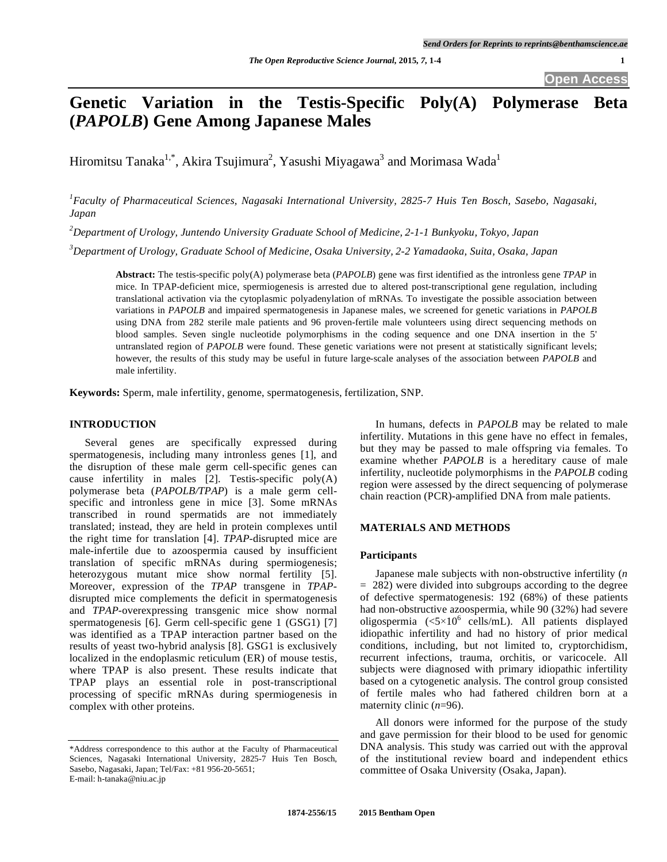# **Genetic Variation in the Testis-Specific Poly(A) Polymerase Beta (***PAPOLB***) Gene Among Japanese Males**

Hiromitsu Tanaka $^{1,*}$ , Akira Tsujimura $^2$ , Yasushi Miyagawa $^3$  and Morimasa Wada $^1$ 

*1 Faculty of Pharmaceutical Sciences, Nagasaki International University, 2825-7 Huis Ten Bosch, Sasebo, Nagasaki, Japan* 

*2 Department of Urology, Juntendo University Graduate School of Medicine, 2-1-1 Bunkyoku, Tokyo, Japan*

*3 Department of Urology, Graduate School of Medicine, Osaka University, 2-2 Yamadaoka, Suita, Osaka, Japan* 

**Abstract:** The testis-specific poly(A) polymerase beta (*PAPOLB*) gene was first identified as the intronless gene *TPAP* in mice. In TPAP-deficient mice, spermiogenesis is arrested due to altered post-transcriptional gene regulation, including translational activation via the cytoplasmic polyadenylation of mRNAs. To investigate the possible association between variations in *PAPOLB* and impaired spermatogenesis in Japanese males, we screened for genetic variations in *PAPOLB* using DNA from 282 sterile male patients and 96 proven-fertile male volunteers using direct sequencing methods on blood samples. Seven single nucleotide polymorphisms in the coding sequence and one DNA insertion in the 5' untranslated region of *PAPOLB* were found. These genetic variations were not present at statistically significant levels; however, the results of this study may be useful in future large-scale analyses of the association between *PAPOLB* and male infertility.

**Keywords:** Sperm, male infertility, genome, spermatogenesis, fertilization, SNP.

# **INTRODUCTION**

Several genes are specifically expressed during spermatogenesis, including many intronless genes [1], and the disruption of these male germ cell-specific genes can cause infertility in males [2]. Testis-specific poly(A) polymerase beta (*PAPOLB/TPAP*) is a male germ cellspecific and intronless gene in mice [3]. Some mRNAs transcribed in round spermatids are not immediately translated; instead, they are held in protein complexes until the right time for translation [4]. *TPAP*-disrupted mice are male-infertile due to azoospermia caused by insufficient translation of specific mRNAs during spermiogenesis; heterozygous mutant mice show normal fertility [5]. Moreover, expression of the *TPAP* transgene in *TPAP*disrupted mice complements the deficit in spermatogenesis and *TPAP*-overexpressing transgenic mice show normal spermatogenesis [6]. Germ cell-specific gene 1 (GSG1) [7] was identified as a TPAP interaction partner based on the results of yeast two-hybrid analysis [8]. GSG1 is exclusively localized in the endoplasmic reticulum (ER) of mouse testis, where TPAP is also present. These results indicate that TPAP plays an essential role in post-transcriptional processing of specific mRNAs during spermiogenesis in complex with other proteins.

In humans, defects in *PAPOLB* may be related to male infertility. Mutations in this gene have no effect in females, but they may be passed to male offspring via females. To examine whether *PAPOLB* is a hereditary cause of male infertility, nucleotide polymorphisms in the *PAPOLB* coding region were assessed by the direct sequencing of polymerase chain reaction (PCR)-amplified DNA from male patients.

# **MATERIALS AND METHODS**

#### **Participants**

Japanese male subjects with non-obstructive infertility (*n* = 282) were divided into subgroups according to the degree of defective spermatogenesis: 192 (68%) of these patients had non-obstructive azoospermia, while 90 (32%) had severe oligospermia ( $\langle 5 \times 10^6 \text{ cells/mL} \rangle$ ). All patients displayed idiopathic infertility and had no history of prior medical conditions, including, but not limited to, cryptorchidism, recurrent infections, trauma, orchitis, or varicocele. All subjects were diagnosed with primary idiopathic infertility based on a cytogenetic analysis. The control group consisted of fertile males who had fathered children born at a maternity clinic (*n*=96).

All donors were informed for the purpose of the study and gave permission for their blood to be used for genomic DNA analysis. This study was carried out with the approval of the institutional review board and independent ethics committee of Osaka University (Osaka, Japan).

<sup>\*</sup>Address correspondence to this author at the Faculty of Pharmaceutical Sciences, Nagasaki International University, 2825-7 Huis Ten Bosch, Sasebo, Nagasaki, Japan; Tel/Fax: +81 956-20-5651; E-mail: h-tanaka@niu.ac.jp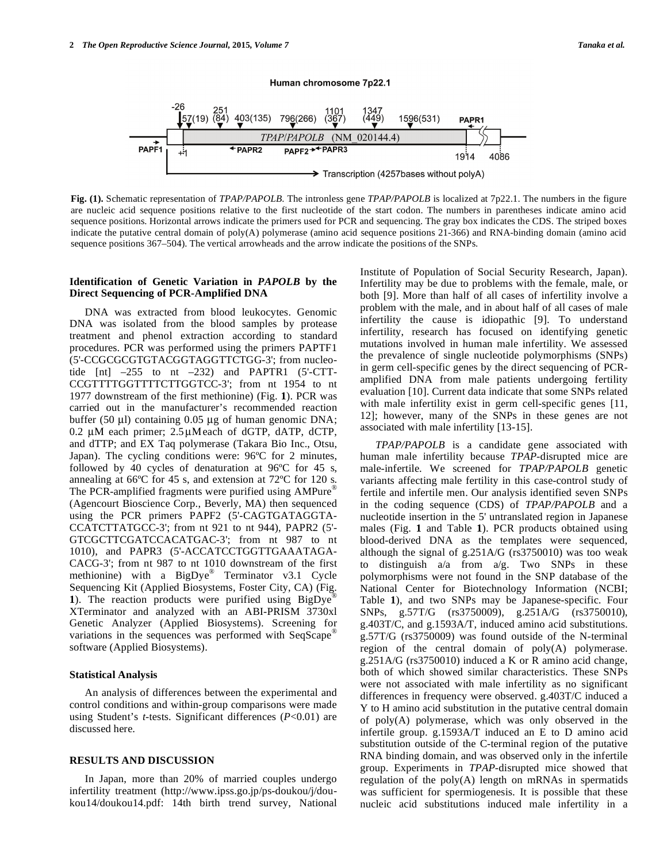

Human chromosome 7p22.1

**Fig. (1).** Schematic representation of *TPAP/PAPOLB*. The intronless gene *TPAP/PAPOLB* is localized at 7p22.1. The numbers in the figure are nucleic acid sequence positions relative to the first nucleotide of the start codon. The numbers in parentheses indicate amino acid sequence positions. Horizontal arrows indicate the primers used for PCR and sequencing. The gray box indicates the CDS. The striped boxes indicate the putative central domain of poly(A) polymerase (amino acid sequence positions 21-366) and RNA-binding domain (amino acid sequence positions 367–504). The vertical arrowheads and the arrow indicate the positions of the SNPs.

# **Identification of Genetic Variation in** *PAPOLB* **by the Direct Sequencing of PCR-Amplified DNA**

DNA was extracted from blood leukocytes. Genomic DNA was isolated from the blood samples by protease treatment and phenol extraction according to standard procedures. PCR was performed using the primers PAPTF1 (5'-CCGCGCGTGTACGGTAGGTTCTGG-3'; from nucleotide  $[nt]$  –255 to nt –232) and PAPTR1 (5'-CTT-CCGTTTTGGTTTTCTTGGTCC-3'; from nt 1954 to nt 1977 downstream of the first methionine) (Fig. **1**). PCR was carried out in the manufacturer's recommended reaction buffer (50 μl) containing 0.05 μg of human genomic DNA;  $0.2$  μM each primer;  $2.5$ μMeach of dGTP, dATP, dCTP, and dTTP; and EX Taq polymerase (Takara Bio Inc., Otsu, Japan). The cycling conditions were: 96ºC for 2 minutes, followed by 40 cycles of denaturation at 96ºC for 45 s, annealing at 66ºC for 45 s, and extension at 72ºC for 120 s. The PCR-amplified fragments were purified using AMPure<sup>®</sup> (Agencourt Bioscience Corp., Beverly, MA) then sequenced using the PCR primers PAPF2 (5'-CAGTGATAGGTA-CCATCTTATGCC-3'; from nt 921 to nt 944), PAPR2 (5'- GTCGCTTCGATCCACATGAC-3'; from nt 987 to nt 1010), and PAPR3 (5'-ACCATCCTGGTTGAAATAGA-CACG-3'; from nt 987 to nt 1010 downstream of the first methionine) with a BigDye® Terminator v3.1 Cycle Sequencing Kit (Applied Biosystems, Foster City, CA) (Fig. **1**). The reaction products were purified using BigDye® XTerminator and analyzed with an ABI-PRISM 3730xl Genetic Analyzer (Applied Biosystems). Screening for variations in the sequences was performed with SeqScape® software (Applied Biosystems).

## **Statistical Analysis**

An analysis of differences between the experimental and control conditions and within-group comparisons were made using Student's *t*-tests. Significant differences (*P*<0.01) are discussed here.

#### **RESULTS AND DISCUSSION**

In Japan, more than 20% of married couples undergo infertility treatment (http://www.ipss.go.jp/ps-doukou/j/doukou14/doukou14.pdf: 14th birth trend survey, National Institute of Population of Social Security Research, Japan). Infertility may be due to problems with the female, male, or both [9]. More than half of all cases of infertility involve a problem with the male, and in about half of all cases of male infertility the cause is idiopathic [9]. To understand infertility, research has focused on identifying genetic mutations involved in human male infertility. We assessed the prevalence of single nucleotide polymorphisms (SNPs) in germ cell-specific genes by the direct sequencing of PCRamplified DNA from male patients undergoing fertility evaluation [10]. Current data indicate that some SNPs related with male infertility exist in germ cell-specific genes [11, 12]; however, many of the SNPs in these genes are not associated with male infertility [13-15].

*TPAP/PAPOLB* is a candidate gene associated with human male infertility because *TPAP*-disrupted mice are male-infertile. We screened for *TPAP/PAPOLB* genetic variants affecting male fertility in this case-control study of fertile and infertile men. Our analysis identified seven SNPs in the coding sequence (CDS) of *TPAP/PAPOLB* and a nucleotide insertion in the 5' untranslated region in Japanese males (Fig. **1** and Table **1**). PCR products obtained using blood-derived DNA as the templates were sequenced, although the signal of g.251A/G (rs3750010) was too weak to distinguish  $a/a$  from  $a/g$ . Two SNPs in these polymorphisms were not found in the SNP database of the National Center for Biotechnology Information (NCBI; Table **1**), and two SNPs may be Japanese-specific. Four SNPs, g.57T/G (rs3750009), g.251A/G (rs3750010), g.403T/C, and g.1593A/T, induced amino acid substitutions. g.57T/G (rs3750009) was found outside of the N-terminal region of the central domain of poly(A) polymerase. g.251A/G (rs3750010) induced a K or R amino acid change, both of which showed similar characteristics. These SNPs were not associated with male infertility as no significant differences in frequency were observed. g.403T/C induced a Y to H amino acid substitution in the putative central domain of poly(A) polymerase, which was only observed in the infertile group. g.1593A/T induced an E to D amino acid substitution outside of the C-terminal region of the putative RNA binding domain, and was observed only in the infertile group. Experiments in *TPAP*-disrupted mice showed that regulation of the  $poly(A)$  length on mRNAs in spermatids was sufficient for spermiogenesis. It is possible that these nucleic acid substitutions induced male infertility in a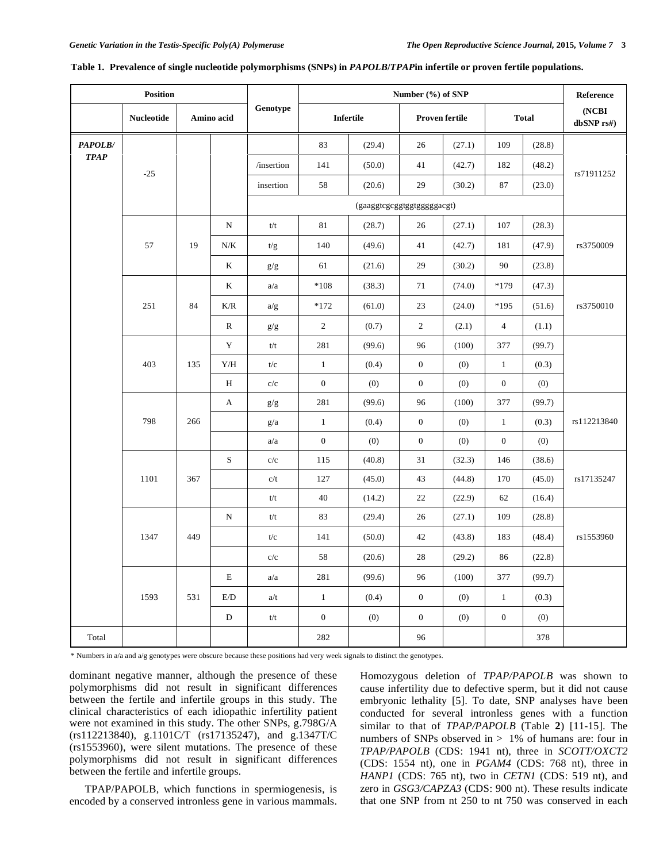| <b>Position</b> |                   |            |              |                             | Number (%) of SNP |        |                       |        |                  |        | Reference           |
|-----------------|-------------------|------------|--------------|-----------------------------|-------------------|--------|-----------------------|--------|------------------|--------|---------------------|
|                 | <b>Nucleotide</b> | Amino acid |              | Genotype                    | Infertile         |        | <b>Proven fertile</b> |        | <b>Total</b>     |        | (NCBI<br>dbSNP rs#) |
| PAPOLB/         |                   |            |              |                             | 83                | (29.4) | 26                    | (27.1) | 109              | (28.8) |                     |
| <b>TPAP</b>     |                   |            |              | /insertion                  | 141               | (50.0) | 41                    | (42.7) | 182              | (48.2) |                     |
|                 | $-25$             |            |              | insertion                   | 58                | (20.6) | 29                    | (30.2) | 87               | (23.0) | rs71911252          |
|                 |                   |            |              | (gaaggtcgcggtggtggggggacgt) |                   |        |                       |        |                  |        |                     |
|                 |                   |            | ${\bf N}$    | t/t                         | 81                | (28.7) | 26                    | (27.1) | 107              | (28.3) |                     |
|                 | 57                | 19         | $N\!/\!K$    | t/g                         | 140               | (49.6) | 41                    | (42.7) | 181              | (47.9) | rs3750009           |
|                 |                   |            | K            | g/g                         | 61                | (21.6) | 29                    | (30.2) | 90               | (23.8) |                     |
|                 |                   |            | K            | a/a                         | $*108$            | (38.3) | 71                    | (74.0) | $*179$           | (47.3) |                     |
|                 | 251               | 84         | K/R          | a/g                         | $*172$            | (61.0) | 23                    | (24.0) | $*195$           | (51.6) | rs3750010           |
|                 |                   |            | $\mathbb{R}$ | g/g                         | $\overline{c}$    | (0.7)  | $\sqrt{2}$            | (2.1)  | $\overline{4}$   | (1.1)  |                     |
|                 |                   |            | Y            | t/t                         | 281               | (99.6) | 96                    | (100)  | 377              | (99.7) |                     |
|                 | 403               | 135        | ${\rm Y/H}$  | t/c                         | $\mathbf{1}$      | (0.4)  | $\boldsymbol{0}$      | (0)    | $\mathbf{1}$     | (0.3)  |                     |
|                 |                   |            | $\, {\rm H}$ | c/c                         | $\boldsymbol{0}$  | (0)    | $\mathbf{0}$          | (0)    | $\boldsymbol{0}$ | (0)    |                     |
|                 |                   |            | A            | g/g                         | 281               | (99.6) | 96                    | (100)  | 377              | (99.7) |                     |
|                 | 798               | 266        |              | g/a                         | $\mathbf{1}$      | (0.4)  | $\mathbf{0}$          | (0)    | $\mathbf{1}$     | (0.3)  | rs112213840         |
|                 |                   |            |              | a/a                         | $\mathbf{0}$      | (0)    | $\mathbf{0}$          | (0)    | $\mathbf{0}$     | (0)    |                     |
|                 |                   |            | S            | $\rm c/c$                   | 115               | (40.8) | 31                    | (32.3) | 146              | (38.6) |                     |
|                 | 1101              | 367        |              | c/t                         | 127               | (45.0) | 43                    | (44.8) | 170              | (45.0) | rs17135247          |
|                 |                   |            |              | t/t                         | 40                | (14.2) | 22                    | (22.9) | 62               | (16.4) |                     |
|                 | 1347              | 449        | N            | t/t                         | 83                | (29.4) | 26                    | (27.1) | 109              | (28.8) | rs1553960           |
|                 |                   |            |              | t/c                         | 141               | (50.0) | 42                    | (43.8) | 183              | (48.4) |                     |
|                 |                   |            |              | c/c                         | 58                | (20.6) | 28                    | (29.2) | 86               | (22.8) |                     |
|                 | 1593              | 531        | E            | a/a                         | 281               | (99.6) | 96                    | (100)  | 377              | (99.7) |                     |
|                 |                   |            | E/D          | a/t                         | $\mathbf{1}$      | (0.4)  | $\boldsymbol{0}$      | (0)    | $\mathbf{1}$     | (0.3)  |                     |
|                 |                   |            | D            | t/t                         | $\boldsymbol{0}$  | (0)    | $\mathbf{0}$          | (0)    | $\boldsymbol{0}$ | (0)    |                     |
| Total           |                   |            |              |                             | 282               |        | 96                    |        |                  | 378    |                     |

#### **Table 1. Prevalence of single nucleotide polymorphisms (SNPs) in** *PAPOLB***/***TPAP***in infertile or proven fertile populations.**

\* Numbers in a/a and a/g genotypes were obscure because these positions had very week signals to distinct the genotypes.

dominant negative manner, although the presence of these polymorphisms did not result in significant differences between the fertile and infertile groups in this study. The clinical characteristics of each idiopathic infertility patient were not examined in this study. The other SNPs, g.798G/A (rs112213840), g.1101C/T (rs17135247), and g.1347T/C (rs1553960), were silent mutations. The presence of these polymorphisms did not result in significant differences between the fertile and infertile groups.

TPAP/PAPOLB, which functions in spermiogenesis, is encoded by a conserved intronless gene in various mammals.

Homozygous deletion of *TPAP/PAPOLB* was shown to cause infertility due to defective sperm, but it did not cause embryonic lethality [5]. To date, SNP analyses have been conducted for several intronless genes with a function similar to that of *TPAP/PAPOLB* (Table **2**) [11-15]. The numbers of SNPs observed in  $> 1\%$  of humans are: four in *TPAP/PAPOLB* (CDS: 1941 nt), three in *SCOTT/OXCT2* (CDS: 1554 nt), one in *PGAM4* (CDS: 768 nt), three in *HANP1* (CDS: 765 nt), two in *CETN1* (CDS: 519 nt), and zero in *GSG3/CAPZA3* (CDS: 900 nt). These results indicate that one SNP from nt 250 to nt 750 was conserved in each